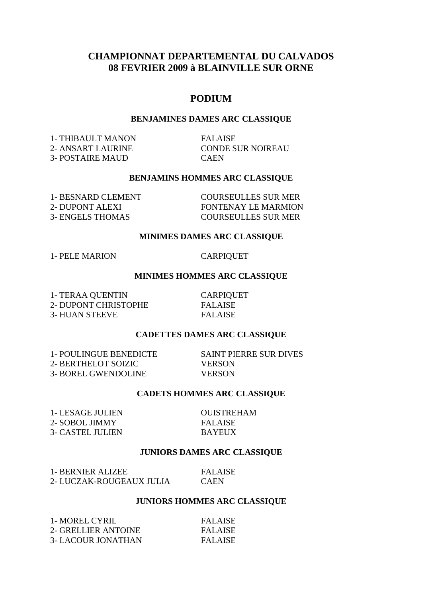# **CHAMPIONNAT DEPARTEMENTAL DU CALVADOS 08 FEVRIER 2009 à BLAINVILLE SUR ORNE**

# **PODIUM**

#### **BENJAMINES DAMES ARC CLASSIQUE**

1- THIBAULT MANON FALAISE 2- ANSART LAURINE CONDE SUR NOIREAU 3- POSTAIRE MAUD CAEN

#### **BENJAMINS HOMMES ARC CLASSIQUE**

| 1- BESNARD CLEMENT | <b>COURSEULLES SUR MER</b> |
|--------------------|----------------------------|
| 2- DUPONT ALEXI    | FONTENAY LE MARMION        |
| 3- ENGELS THOMAS   | <b>COURSEULLES SUR MER</b> |

#### **MINIMES DAMES ARC CLASSIQUE**

1- PELE MARION CARPIQUET

## **MINIMES HOMMES ARC CLASSIQUE**

1- TERAA QUENTIN CARPIQUET 2- DUPONT CHRISTOPHE FALAISE 3- HUAN STEEVE FALAISE

#### **CADETTES DAMES ARC CLASSIQUE**

1- POULINGUE BENEDICTE SAINT PIERRE SUR DIVES 2- BERTHELOT SOIZIC VERSON 3- BOREL GWENDOLINE VERSON

## **CADETS HOMMES ARC CLASSIQUE**

1- LESAGE JULIEN OUISTREHAM 2- SOBOL JIMMY FALAISE 3- CASTEL JULIEN BAYEUX

#### **JUNIORS DAMES ARC CLASSIQUE**

| 1- BERNIER ALIZEE        | <b>FALAISE</b> |
|--------------------------|----------------|
| 2- LUCZAK-ROUGEAUX JULIA | <b>CAEN</b>    |

## **JUNIORS HOMMES ARC CLASSIQUE**

| 1- MOREL CYRIL            | FALAISE        |
|---------------------------|----------------|
| 2- GRELLIER ANTOINE       | <b>FALAISE</b> |
| <b>3- LACOUR JONATHAN</b> | <b>FALAISE</b> |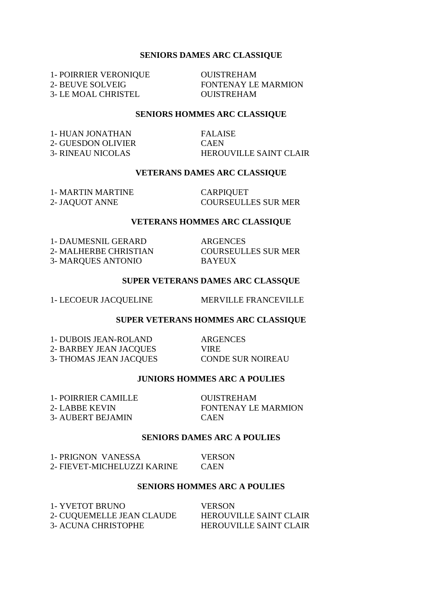#### **SENIORS DAMES ARC CLASSIQUE**

1- POIRRIER VERONIQUE OUISTREHAM 3- LE MOAL CHRISTEL OUISTREHAM

2- BEUVE SOLVEIG FONTENAY LE MARMION

# **SENIORS HOMMES ARC CLASSIQUE**

1- HUAN JONATHAN FALAISE 2- GUESDON OLIVIER CAEN

3- RINEAU NICOLAS HEROUVILLE SAINT CLAIR

#### **VETERANS DAMES ARC CLASSIQUE**

1- MARTIN MARTINE CARPIQUET

2- JAQUOT ANNE COURSEULLES SUR MER

#### **VETERANS HOMMES ARC CLASSIQUE**

1- DAUMESNIL GERARD 1- DAUMESNIL GERARD ARGENCES<br>2- MALHERBE CHRISTIAN COURSEULLES SUR MER 3- MARQUES ANTONIO BAYEUX

### **SUPER VETERANS DAMES ARC CLASSQUE**

1- LECOEUR JACQUELINE MERVILLE FRANCEVILLE

#### **SUPER VETERANS HOMMES ARC CLASSIQUE**

1- DUBOIS JEAN-ROLAND ARGENCES 2- BARBEY JEAN JACQUES VIRE 3- THOMAS JEAN JACQUES CONDE SUR NOIREAU

### **JUNIORS HOMMES ARC A POULIES**

1- POIRRIER CAMILLE OUISTREHAM 3- AUBERT BEJAMIN CAEN

2- LABBE KEVIN FONTENAY LE MARMION

#### **SENIORS DAMES ARC A POULIES**

| 1- PRIGNON VANESSA          | <b>VERSON</b> |
|-----------------------------|---------------|
| 2- FIEVET-MICHELUZZI KARINE | <b>CAEN</b>   |

#### **SENIORS HOMMES ARC A POULIES**

| 1- YVETOT BRUNO            | <b>VERSON</b>                 |
|----------------------------|-------------------------------|
| 2- CUQUEMELLE JEAN CLAUDE  | <b>HEROUVILLE SAINT CLAIR</b> |
| <b>3- ACUNA CHRISTOPHE</b> | <b>HEROUVILLE SAINT CLAIR</b> |